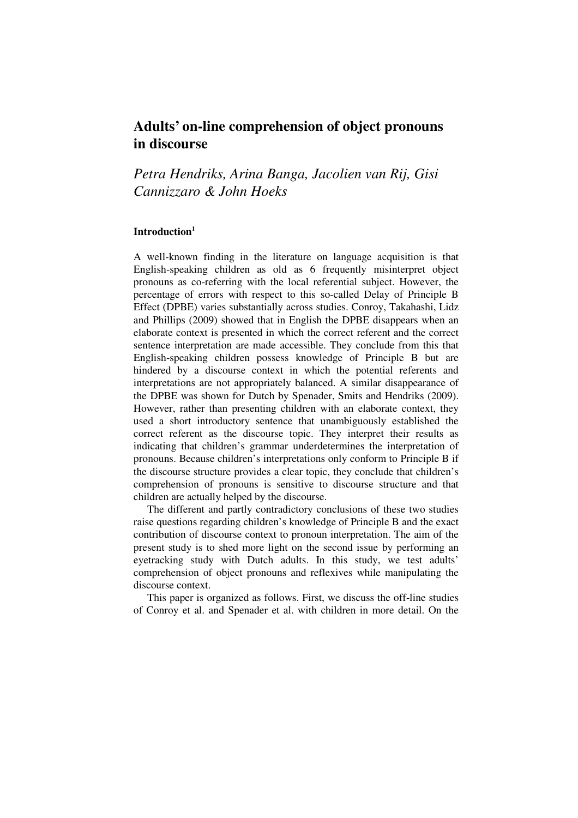# **Adults' on-line comprehension of object pronouns in discourse**

*Petra Hendriks, Arina Banga, Jacolien van Rij, Gisi Cannizzaro & John Hoeks* 

## **Introduction<sup>1</sup>**

A well-known finding in the literature on language acquisition is that English-speaking children as old as 6 frequently misinterpret object pronouns as co-referring with the local referential subject. However, the percentage of errors with respect to this so-called Delay of Principle B Effect (DPBE) varies substantially across studies. Conroy, Takahashi, Lidz and Phillips (2009) showed that in English the DPBE disappears when an elaborate context is presented in which the correct referent and the correct sentence interpretation are made accessible. They conclude from this that English-speaking children possess knowledge of Principle B but are hindered by a discourse context in which the potential referents and interpretations are not appropriately balanced. A similar disappearance of the DPBE was shown for Dutch by Spenader, Smits and Hendriks (2009). However, rather than presenting children with an elaborate context, they used a short introductory sentence that unambiguously established the correct referent as the discourse topic. They interpret their results as indicating that children's grammar underdetermines the interpretation of pronouns. Because children's interpretations only conform to Principle B if the discourse structure provides a clear topic, they conclude that children's comprehension of pronouns is sensitive to discourse structure and that children are actually helped by the discourse.

The different and partly contradictory conclusions of these two studies raise questions regarding children's knowledge of Principle B and the exact contribution of discourse context to pronoun interpretation. The aim of the present study is to shed more light on the second issue by performing an eyetracking study with Dutch adults. In this study, we test adults' comprehension of object pronouns and reflexives while manipulating the discourse context.

This paper is organized as follows. First, we discuss the off-line studies of Conroy et al. and Spenader et al. with children in more detail. On the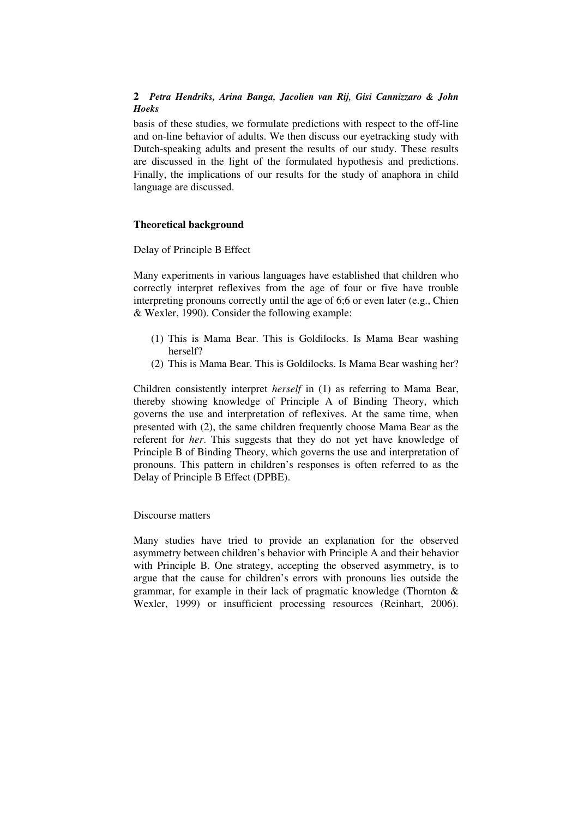basis of these studies, we formulate predictions with respect to the off-line and on-line behavior of adults. We then discuss our eyetracking study with Dutch-speaking adults and present the results of our study. These results are discussed in the light of the formulated hypothesis and predictions. Finally, the implications of our results for the study of anaphora in child language are discussed.

## **Theoretical background**

Delay of Principle B Effect

Many experiments in various languages have established that children who correctly interpret reflexives from the age of four or five have trouble interpreting pronouns correctly until the age of 6;6 or even later (e.g., Chien & Wexler, 1990). Consider the following example:

- (1) This is Mama Bear. This is Goldilocks. Is Mama Bear washing herself?
- (2) This is Mama Bear. This is Goldilocks. Is Mama Bear washing her?

Children consistently interpret *herself* in (1) as referring to Mama Bear, thereby showing knowledge of Principle A of Binding Theory, which governs the use and interpretation of reflexives. At the same time, when presented with (2), the same children frequently choose Mama Bear as the referent for *her*. This suggests that they do not yet have knowledge of Principle B of Binding Theory, which governs the use and interpretation of pronouns. This pattern in children's responses is often referred to as the Delay of Principle B Effect (DPBE).

#### Discourse matters

Many studies have tried to provide an explanation for the observed asymmetry between children's behavior with Principle A and their behavior with Principle B. One strategy, accepting the observed asymmetry, is to argue that the cause for children's errors with pronouns lies outside the grammar, for example in their lack of pragmatic knowledge (Thornton & Wexler, 1999) or insufficient processing resources (Reinhart, 2006).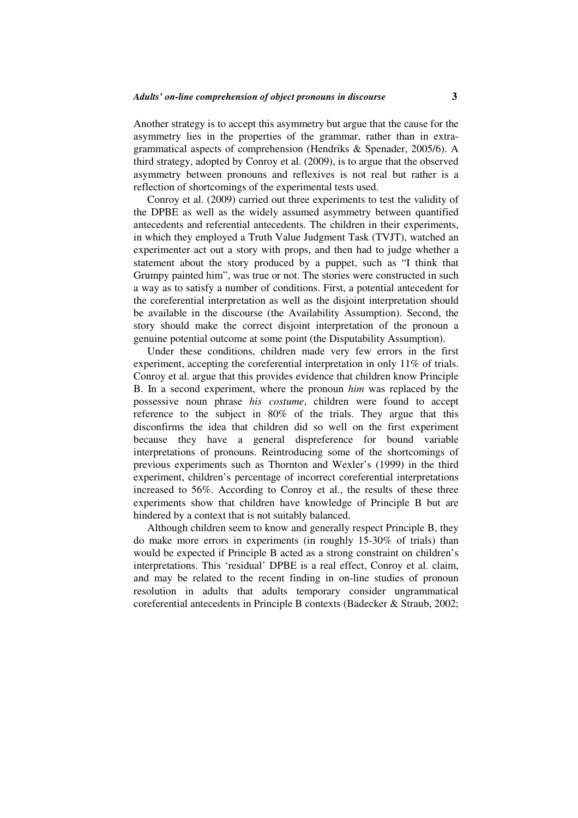Another strategy is to accept this asymmetry but argue that the cause for the asymmetry lies in the properties of the grammar, rather than in extragrammatical aspects of comprehension (Hendriks & Spenader, 2005/6). A third strategy, adopted by Conroy et al. (2009), is to argue that the observed asymmetry between pronouns and reflexives is not real but rather is a reflection of shortcomings of the experimental tests used.

Conroy et al. (2009) carried out three experiments to test the validity of the DPBE as well as the widely assumed asymmetry between quantified antecedents and referential antecedents. The children in their experiments, in which they employed a Truth Value Judgment Task (TVJT), watched an experimenter act out a story with props, and then had to judge whether a statement about the story produced by a puppet, such as "I think that Grumpy painted him", was true or not. The stories were constructed in such a way as to satisfy a number of conditions. First, a potential antecedent for the coreferential interpretation as well as the disjoint interpretation should be available in the discourse (the Availability Assumption). Second, the story should make the correct disjoint interpretation of the pronoun a genuine potential outcome at some point (the Disputability Assumption).

Under these conditions, children made very few errors in the first experiment, accepting the coreferential interpretation in only 11% of trials. Conroy et al. argue that this provides evidence that children know Principle B. In a second experiment, where the pronoun *him* was replaced by the possessive noun phrase *his costume*, children were found to accept reference to the subject in 80% of the trials. They argue that this disconfirms the idea that children did so well on the first experiment because they have a general dispreference for bound variable interpretations of pronouns. Reintroducing some of the shortcomings of previous experiments such as Thornton and Wexler's (1999) in the third experiment, children's percentage of incorrect coreferential interpretations increased to 56%. According to Conroy et al., the results of these three experiments show that children have knowledge of Principle B but are hindered by a context that is not suitably balanced.

Although children seem to know and generally respect Principle B, they do make more errors in experiments (in roughly 15-30% of trials) than would be expected if Principle B acted as a strong constraint on children's interpretations. This 'residual' DPBE is a real effect, Conroy et al. claim, and may be related to the recent finding in on-line studies of pronoun resolution in adults that adults temporary consider ungrammatical coreferential antecedents in Principle B contexts (Badecker & Straub, 2002;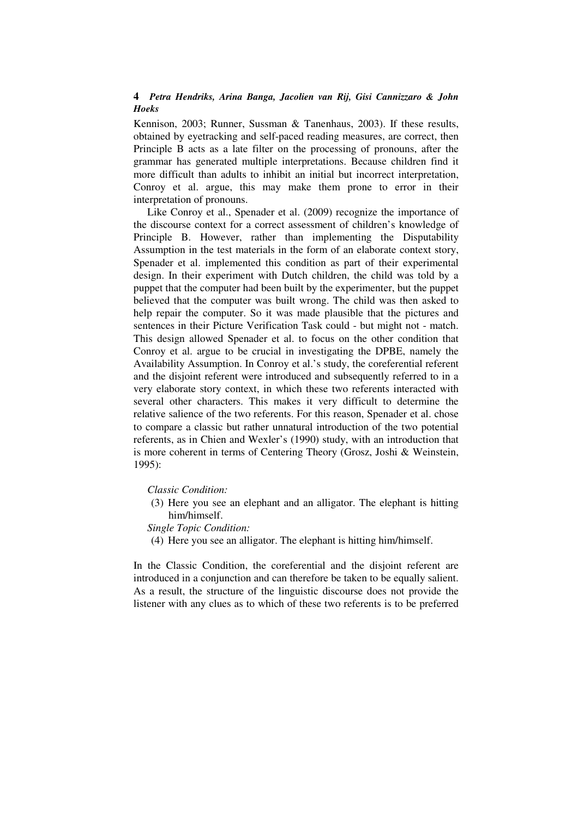Kennison, 2003; Runner, Sussman & Tanenhaus, 2003). If these results, obtained by eyetracking and self-paced reading measures, are correct, then Principle B acts as a late filter on the processing of pronouns, after the grammar has generated multiple interpretations. Because children find it more difficult than adults to inhibit an initial but incorrect interpretation, Conroy et al. argue, this may make them prone to error in their interpretation of pronouns.

Like Conroy et al., Spenader et al. (2009) recognize the importance of the discourse context for a correct assessment of children's knowledge of Principle B. However, rather than implementing the Disputability Assumption in the test materials in the form of an elaborate context story, Spenader et al. implemented this condition as part of their experimental design. In their experiment with Dutch children, the child was told by a puppet that the computer had been built by the experimenter, but the puppet believed that the computer was built wrong. The child was then asked to help repair the computer. So it was made plausible that the pictures and sentences in their Picture Verification Task could - but might not - match. This design allowed Spenader et al. to focus on the other condition that Conroy et al. argue to be crucial in investigating the DPBE, namely the Availability Assumption. In Conroy et al.'s study, the coreferential referent and the disjoint referent were introduced and subsequently referred to in a very elaborate story context, in which these two referents interacted with several other characters. This makes it very difficult to determine the relative salience of the two referents. For this reason, Spenader et al. chose to compare a classic but rather unnatural introduction of the two potential referents, as in Chien and Wexler's (1990) study, with an introduction that is more coherent in terms of Centering Theory (Grosz, Joshi & Weinstein, 1995):

*Classic Condition:* 

(3) Here you see an elephant and an alligator. The elephant is hitting him/himself.

*Single Topic Condition:* 

(4) Here you see an alligator. The elephant is hitting him/himself.

In the Classic Condition, the coreferential and the disjoint referent are introduced in a conjunction and can therefore be taken to be equally salient. As a result, the structure of the linguistic discourse does not provide the listener with any clues as to which of these two referents is to be preferred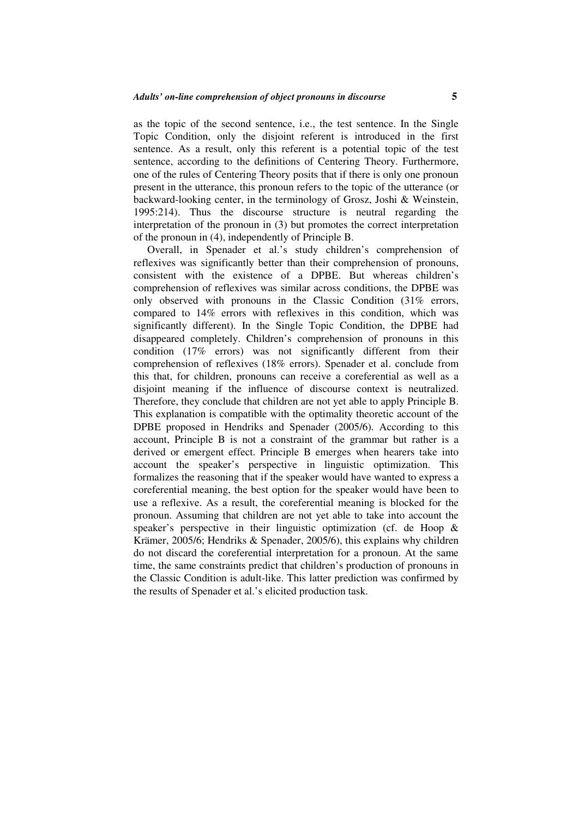as the topic of the second sentence, i.e., the test sentence. In the Single Topic Condition, only the disjoint referent is introduced in the first sentence. As a result, only this referent is a potential topic of the test sentence, according to the definitions of Centering Theory. Furthermore, one of the rules of Centering Theory posits that if there is only one pronoun present in the utterance, this pronoun refers to the topic of the utterance (or backward-looking center, in the terminology of Grosz, Joshi & Weinstein, 1995:214). Thus the discourse structure is neutral regarding the interpretation of the pronoun in (3) but promotes the correct interpretation of the pronoun in (4), independently of Principle B.

Overall, in Spenader et al.'s study children's comprehension of reflexives was significantly better than their comprehension of pronouns, consistent with the existence of a DPBE. But whereas children's comprehension of reflexives was similar across conditions, the DPBE was only observed with pronouns in the Classic Condition (31% errors, compared to 14% errors with reflexives in this condition, which was significantly different). In the Single Topic Condition, the DPBE had disappeared completely. Children's comprehension of pronouns in this condition (17% errors) was not significantly different from their comprehension of reflexives (18% errors). Spenader et al. conclude from this that, for children, pronouns can receive a coreferential as well as a disjoint meaning if the influence of discourse context is neutralized. Therefore, they conclude that children are not yet able to apply Principle B. This explanation is compatible with the optimality theoretic account of the DPBE proposed in Hendriks and Spenader (2005/6). According to this account, Principle B is not a constraint of the grammar but rather is a derived or emergent effect. Principle B emerges when hearers take into account the speaker's perspective in linguistic optimization. This formalizes the reasoning that if the speaker would have wanted to express a coreferential meaning, the best option for the speaker would have been to use a reflexive. As a result, the coreferential meaning is blocked for the pronoun. Assuming that children are not yet able to take into account the speaker's perspective in their linguistic optimization (cf. de Hoop & Krämer, 2005/6; Hendriks & Spenader, 2005/6), this explains why children do not discard the coreferential interpretation for a pronoun. At the same time, the same constraints predict that children's production of pronouns in the Classic Condition is adult-like. This latter prediction was confirmed by the results of Spenader et al.'s elicited production task.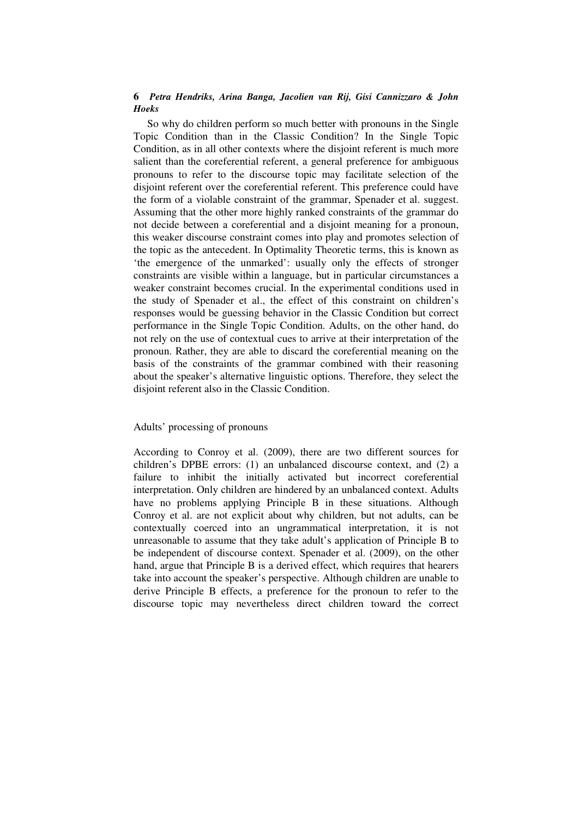So why do children perform so much better with pronouns in the Single Topic Condition than in the Classic Condition? In the Single Topic Condition, as in all other contexts where the disjoint referent is much more salient than the coreferential referent, a general preference for ambiguous pronouns to refer to the discourse topic may facilitate selection of the disjoint referent over the coreferential referent. This preference could have the form of a violable constraint of the grammar, Spenader et al. suggest. Assuming that the other more highly ranked constraints of the grammar do not decide between a coreferential and a disjoint meaning for a pronoun, this weaker discourse constraint comes into play and promotes selection of the topic as the antecedent. In Optimality Theoretic terms, this is known as 'the emergence of the unmarked': usually only the effects of stronger constraints are visible within a language, but in particular circumstances a weaker constraint becomes crucial. In the experimental conditions used in the study of Spenader et al., the effect of this constraint on children's responses would be guessing behavior in the Classic Condition but correct performance in the Single Topic Condition. Adults, on the other hand, do not rely on the use of contextual cues to arrive at their interpretation of the pronoun. Rather, they are able to discard the coreferential meaning on the basis of the constraints of the grammar combined with their reasoning about the speaker's alternative linguistic options. Therefore, they select the disjoint referent also in the Classic Condition.

#### Adults' processing of pronouns

According to Conroy et al. (2009), there are two different sources for children's DPBE errors: (1) an unbalanced discourse context, and (2) a failure to inhibit the initially activated but incorrect coreferential interpretation. Only children are hindered by an unbalanced context. Adults have no problems applying Principle B in these situations. Although Conroy et al. are not explicit about why children, but not adults, can be contextually coerced into an ungrammatical interpretation, it is not unreasonable to assume that they take adult's application of Principle B to be independent of discourse context. Spenader et al. (2009), on the other hand, argue that Principle B is a derived effect, which requires that hearers take into account the speaker's perspective. Although children are unable to derive Principle B effects, a preference for the pronoun to refer to the discourse topic may nevertheless direct children toward the correct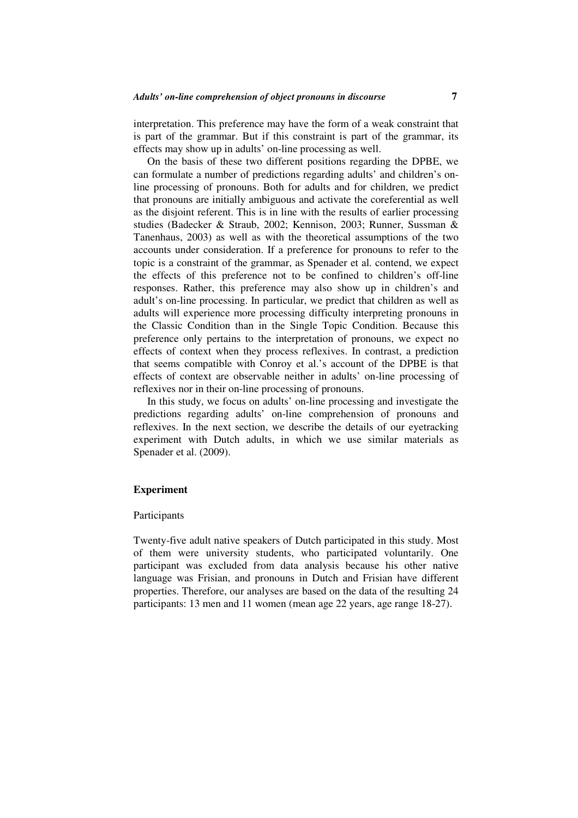interpretation. This preference may have the form of a weak constraint that is part of the grammar. But if this constraint is part of the grammar, its effects may show up in adults' on-line processing as well.

On the basis of these two different positions regarding the DPBE, we can formulate a number of predictions regarding adults' and children's online processing of pronouns. Both for adults and for children, we predict that pronouns are initially ambiguous and activate the coreferential as well as the disjoint referent. This is in line with the results of earlier processing studies (Badecker & Straub, 2002; Kennison, 2003; Runner, Sussman & Tanenhaus, 2003) as well as with the theoretical assumptions of the two accounts under consideration. If a preference for pronouns to refer to the topic is a constraint of the grammar, as Spenader et al. contend, we expect the effects of this preference not to be confined to children's off-line responses. Rather, this preference may also show up in children's and adult's on-line processing. In particular, we predict that children as well as adults will experience more processing difficulty interpreting pronouns in the Classic Condition than in the Single Topic Condition. Because this preference only pertains to the interpretation of pronouns, we expect no effects of context when they process reflexives. In contrast, a prediction that seems compatible with Conroy et al.'s account of the DPBE is that effects of context are observable neither in adults' on-line processing of reflexives nor in their on-line processing of pronouns.

In this study, we focus on adults' on-line processing and investigate the predictions regarding adults' on-line comprehension of pronouns and reflexives. In the next section, we describe the details of our eyetracking experiment with Dutch adults, in which we use similar materials as Spenader et al. (2009).

#### **Experiment**

#### Participants

Twenty-five adult native speakers of Dutch participated in this study. Most of them were university students, who participated voluntarily. One participant was excluded from data analysis because his other native language was Frisian, and pronouns in Dutch and Frisian have different properties. Therefore, our analyses are based on the data of the resulting 24 participants: 13 men and 11 women (mean age 22 years, age range 18-27).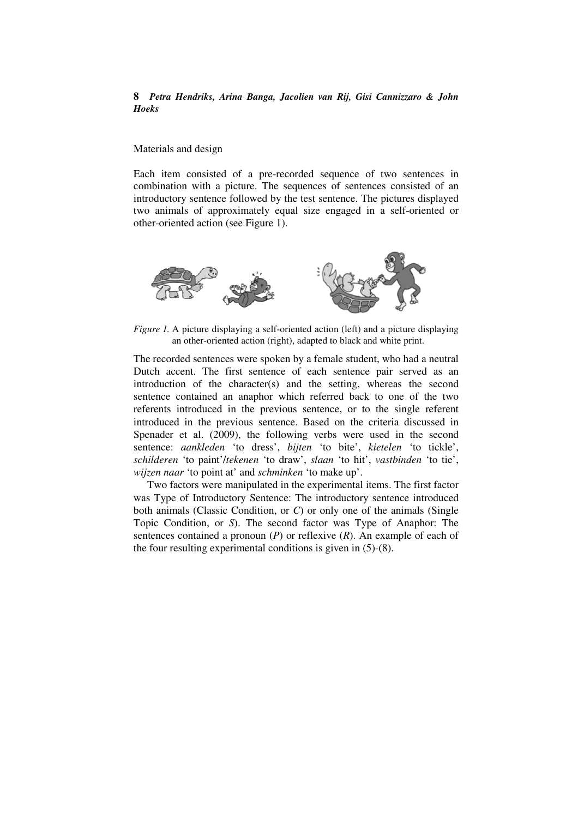#### Materials and design

Each item consisted of a pre-recorded sequence of two sentences in combination with a picture. The sequences of sentences consisted of an introductory sentence followed by the test sentence. The pictures displayed two animals of approximately equal size engaged in a self-oriented or other-oriented action (see Figure 1).



*Figure 1.* A picture displaying a self-oriented action (left) and a picture displaying an other-oriented action (right), adapted to black and white print.

The recorded sentences were spoken by a female student, who had a neutral Dutch accent. The first sentence of each sentence pair served as an introduction of the character(s) and the setting, whereas the second sentence contained an anaphor which referred back to one of the two referents introduced in the previous sentence, or to the single referent introduced in the previous sentence. Based on the criteria discussed in Spenader et al. (2009), the following verbs were used in the second sentence: *aankleden* 'to dress', *bijten* 'to bite', *kietelen* 'to tickle', *schilderen* 'to paint'/*tekenen* 'to draw', *slaan* 'to hit', *vastbinden* 'to tie', *wijzen naar* 'to point at' and *schminken* 'to make up'.

Two factors were manipulated in the experimental items. The first factor was Type of Introductory Sentence: The introductory sentence introduced both animals (Classic Condition, or *C*) or only one of the animals (Single Topic Condition, or *S*). The second factor was Type of Anaphor: The sentences contained a pronoun (*P*) or reflexive (*R*). An example of each of the four resulting experimental conditions is given in (5)-(8).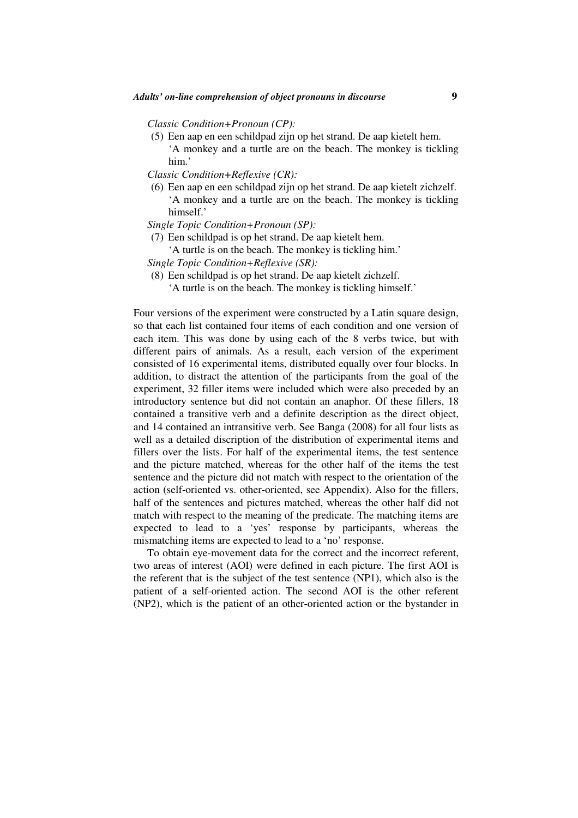*Classic Condition+Pronoun (CP):* 

(5) Een aap en een schildpad zijn op het strand. De aap kietelt hem. 'A monkey and a turtle are on the beach. The monkey is tickling him.'

*Classic Condition+Reflexive (CR):* 

- (6) Een aap en een schildpad zijn op het strand. De aap kietelt zichzelf. 'A monkey and a turtle are on the beach. The monkey is tickling himself.'
- *Single Topic Condition+Pronoun (SP):*
- (7) Een schildpad is op het strand. De aap kietelt hem.
	- 'A turtle is on the beach. The monkey is tickling him.'

*Single Topic Condition+Reflexive (SR):* 

- (8) Een schildpad is op het strand. De aap kietelt zichzelf.
	- 'A turtle is on the beach. The monkey is tickling himself.'

Four versions of the experiment were constructed by a Latin square design, so that each list contained four items of each condition and one version of each item. This was done by using each of the 8 verbs twice, but with different pairs of animals. As a result, each version of the experiment consisted of 16 experimental items, distributed equally over four blocks. In addition, to distract the attention of the participants from the goal of the experiment, 32 filler items were included which were also preceded by an introductory sentence but did not contain an anaphor. Of these fillers, 18 contained a transitive verb and a definite description as the direct object, and 14 contained an intransitive verb. See Banga (2008) for all four lists as well as a detailed discription of the distribution of experimental items and fillers over the lists. For half of the experimental items, the test sentence and the picture matched, whereas for the other half of the items the test sentence and the picture did not match with respect to the orientation of the action (self-oriented vs. other-oriented, see Appendix). Also for the fillers, half of the sentences and pictures matched, whereas the other half did not match with respect to the meaning of the predicate. The matching items are expected to lead to a 'yes' response by participants, whereas the mismatching items are expected to lead to a 'no' response.

To obtain eye-movement data for the correct and the incorrect referent, two areas of interest (AOI) were defined in each picture. The first AOI is the referent that is the subject of the test sentence (NP1), which also is the patient of a self-oriented action. The second AOI is the other referent (NP2), which is the patient of an other-oriented action or the bystander in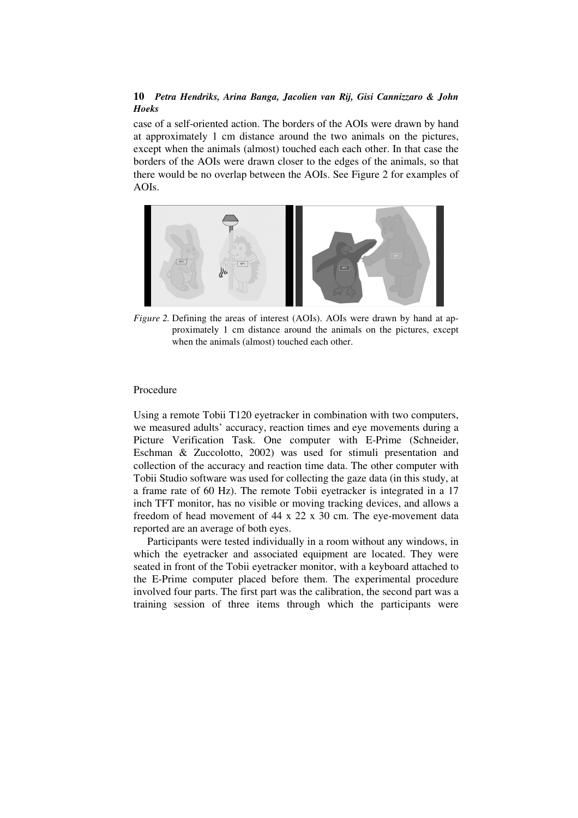case of a self-oriented action. The borders of the AOIs were drawn by hand at approximately 1 cm distance around the two animals on the pictures, except when the animals (almost) touched each each other. In that case the borders of the AOIs were drawn closer to the edges of the animals, so that there would be no overlap between the AOIs. See Figure 2 for examples of AOIs.



*Figure 2.* Defining the areas of interest (AOIs). AOIs were drawn by hand at approximately 1 cm distance around the animals on the pictures, except when the animals (almost) touched each other.

#### Procedure

Using a remote Tobii T120 eyetracker in combination with two computers, we measured adults' accuracy, reaction times and eye movements during a Picture Verification Task. One computer with E-Prime (Schneider, Eschman & Zuccolotto, 2002) was used for stimuli presentation and collection of the accuracy and reaction time data. The other computer with Tobii Studio software was used for collecting the gaze data (in this study, at a frame rate of 60 Hz). The remote Tobii eyetracker is integrated in a 17 inch TFT monitor, has no visible or moving tracking devices, and allows a freedom of head movement of 44 x 22 x 30 cm. The eye-movement data reported are an average of both eyes.

Participants were tested individually in a room without any windows, in which the eyetracker and associated equipment are located. They were seated in front of the Tobii eyetracker monitor, with a keyboard attached to the E-Prime computer placed before them. The experimental procedure involved four parts. The first part was the calibration, the second part was a training session of three items through which the participants were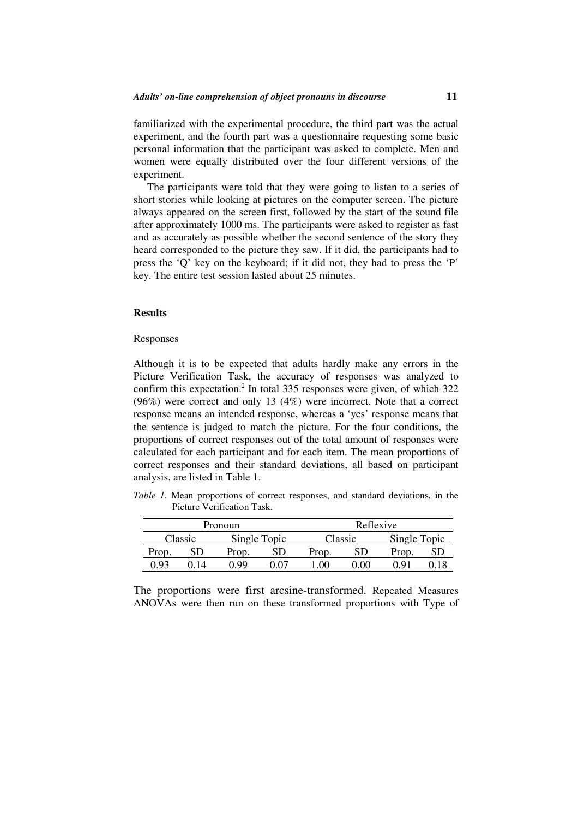familiarized with the experimental procedure, the third part was the actual experiment, and the fourth part was a questionnaire requesting some basic personal information that the participant was asked to complete. Men and women were equally distributed over the four different versions of the experiment.

The participants were told that they were going to listen to a series of short stories while looking at pictures on the computer screen. The picture always appeared on the screen first, followed by the start of the sound file after approximately 1000 ms. The participants were asked to register as fast and as accurately as possible whether the second sentence of the story they heard corresponded to the picture they saw. If it did, the participants had to press the 'Q' key on the keyboard; if it did not, they had to press the 'P' key. The entire test session lasted about 25 minutes.

#### **Results**

#### Responses

Although it is to be expected that adults hardly make any errors in the Picture Verification Task, the accuracy of responses was analyzed to confirm this expectation.<sup>2</sup> In total 335 responses were given, of which  $322$ (96%) were correct and only 13 (4%) were incorrect. Note that a correct response means an intended response, whereas a 'yes' response means that the sentence is judged to match the picture. For the four conditions, the proportions of correct responses out of the total amount of responses were calculated for each participant and for each item. The mean proportions of correct responses and their standard deviations, all based on participant analysis, are listed in Table 1.

*Table 1.* Mean proportions of correct responses, and standard deviations, in the Picture Verification Task.

| Pronoun |              |       |              | Reflexive |         |              |  |
|---------|--------------|-------|--------------|-----------|---------|--------------|--|
|         | Classic      |       | Single Topic |           | Classic | Single Topic |  |
| Prop.   |              | Prop. |              | Prop.     | SD      | Prop.        |  |
| ) 93    | $\mathbf{1}$ | N 99  | ነ በ7         | $\Omega$  | ገ በበ    | ) Q1         |  |

The proportions were first arcsine-transformed. Repeated Measures ANOVAs were then run on these transformed proportions with Type of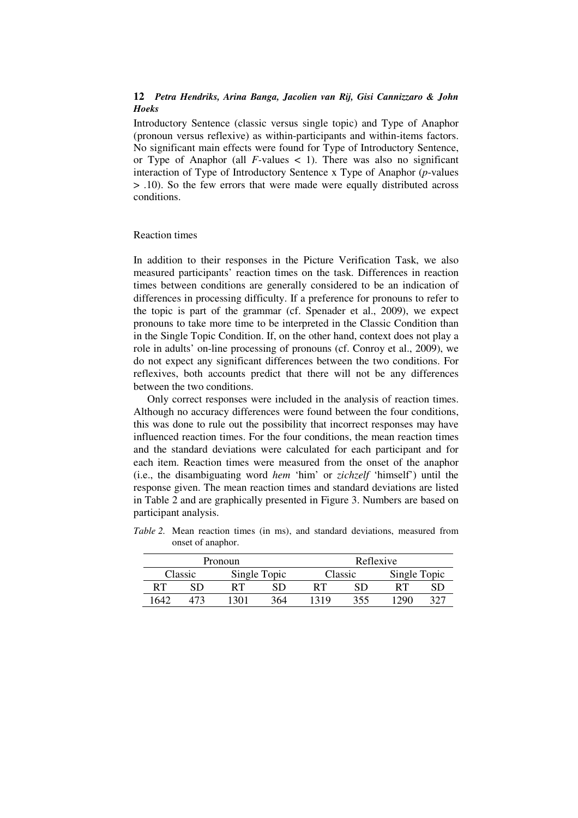Introductory Sentence (classic versus single topic) and Type of Anaphor (pronoun versus reflexive) as within-participants and within-items factors. No significant main effects were found for Type of Introductory Sentence, or Type of Anaphor (all *F-*values < 1). There was also no significant interaction of Type of Introductory Sentence x Type of Anaphor (*p*-values > .10). So the few errors that were made were equally distributed across conditions.

#### Reaction times

In addition to their responses in the Picture Verification Task, we also measured participants' reaction times on the task. Differences in reaction times between conditions are generally considered to be an indication of differences in processing difficulty. If a preference for pronouns to refer to the topic is part of the grammar (cf. Spenader et al., 2009), we expect pronouns to take more time to be interpreted in the Classic Condition than in the Single Topic Condition. If, on the other hand, context does not play a role in adults' on-line processing of pronouns (cf. Conroy et al., 2009), we do not expect any significant differences between the two conditions. For reflexives, both accounts predict that there will not be any differences between the two conditions.

Only correct responses were included in the analysis of reaction times. Although no accuracy differences were found between the four conditions, this was done to rule out the possibility that incorrect responses may have influenced reaction times. For the four conditions, the mean reaction times and the standard deviations were calculated for each participant and for each item. Reaction times were measured from the onset of the anaphor (i.e., the disambiguating word *hem* 'him' or *zichzelf* 'himself') until the response given. The mean reaction times and standard deviations are listed in Table 2 and are graphically presented in Figure 3. Numbers are based on participant analysis.

| Pronoun |         |    |              | Reflexive |         |              |  |
|---------|---------|----|--------------|-----------|---------|--------------|--|
|         | Classic |    | Single Topic |           | Classic | Single Topic |  |
| RТ      |         | RТ |              |           |         |              |  |
| 1640    |         |    | 364          |           | 355     | 22. JU       |  |

*Table 2.* Mean reaction times (in ms), and standard deviations, measured from onset of anaphor.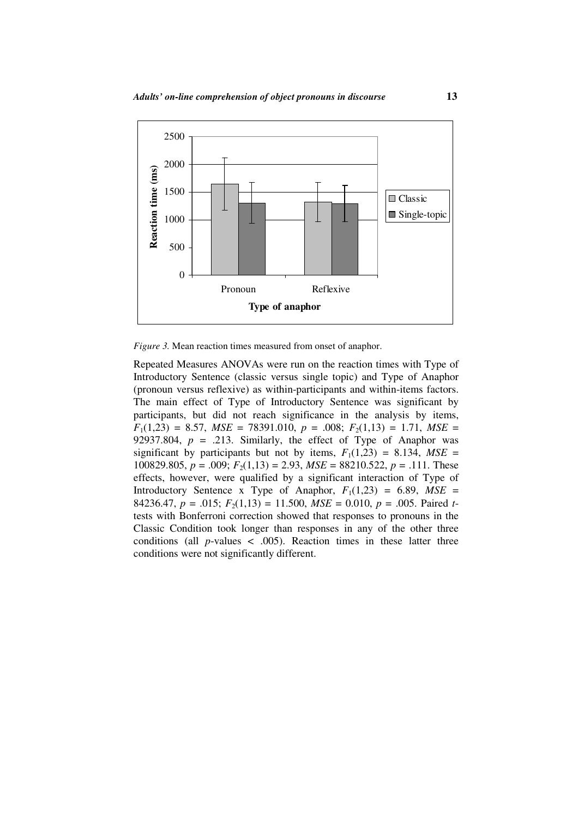

*Figure 3.* Mean reaction times measured from onset of anaphor.

Repeated Measures ANOVAs were run on the reaction times with Type of Introductory Sentence (classic versus single topic) and Type of Anaphor (pronoun versus reflexive) as within-participants and within-items factors. The main effect of Type of Introductory Sentence was significant by participants, but did not reach significance in the analysis by items,  $F_1(1,23) = 8.57$ ,  $MSE = 78391.010$ ,  $p = .008$ ;  $F_2(1,13) = 1.71$ ,  $MSE =$ 92937.804,  $p = .213$ . Similarly, the effect of Type of Anaphor was significant by participants but not by items,  $F_1(1,23) = 8.134$ ,  $MSE =$ 100829.805,  $p = .009$ ;  $F_2(1,13) = 2.93$ ,  $MSE = 88210.522$ ,  $p = .111$ . These effects, however, were qualified by a significant interaction of Type of Introductory Sentence x Type of Anaphor,  $F_1(1,23) = 6.89$ ,  $MSE =$ 84236.47,  $p = .015$ ;  $F_2(1,13) = 11.500$ ,  $MSE = 0.010$ ,  $p = .005$ . Paired ttests with Bonferroni correction showed that responses to pronouns in the Classic Condition took longer than responses in any of the other three conditions (all  $p$ -values  $\lt$  .005). Reaction times in these latter three conditions were not significantly different.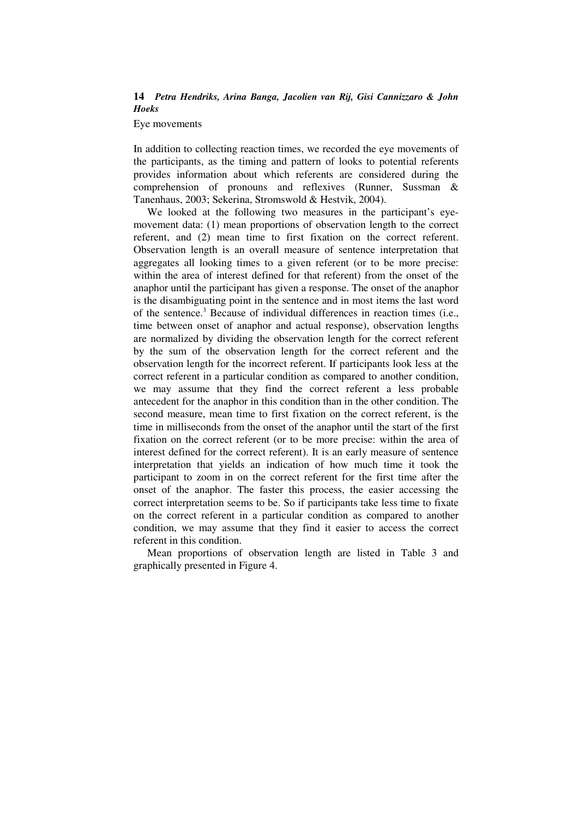Eye movements

In addition to collecting reaction times, we recorded the eye movements of the participants, as the timing and pattern of looks to potential referents provides information about which referents are considered during the comprehension of pronouns and reflexives (Runner, Sussman & Tanenhaus, 2003; Sekerina, Stromswold & Hestvik, 2004).

We looked at the following two measures in the participant's eyemovement data: (1) mean proportions of observation length to the correct referent, and (2) mean time to first fixation on the correct referent. Observation length is an overall measure of sentence interpretation that aggregates all looking times to a given referent (or to be more precise: within the area of interest defined for that referent) from the onset of the anaphor until the participant has given a response. The onset of the anaphor is the disambiguating point in the sentence and in most items the last word of the sentence.<sup>3</sup> Because of individual differences in reaction times (i.e., time between onset of anaphor and actual response), observation lengths are normalized by dividing the observation length for the correct referent by the sum of the observation length for the correct referent and the observation length for the incorrect referent. If participants look less at the correct referent in a particular condition as compared to another condition, we may assume that they find the correct referent a less probable antecedent for the anaphor in this condition than in the other condition. The second measure, mean time to first fixation on the correct referent, is the time in milliseconds from the onset of the anaphor until the start of the first fixation on the correct referent (or to be more precise: within the area of interest defined for the correct referent). It is an early measure of sentence interpretation that yields an indication of how much time it took the participant to zoom in on the correct referent for the first time after the onset of the anaphor. The faster this process, the easier accessing the correct interpretation seems to be. So if participants take less time to fixate on the correct referent in a particular condition as compared to another condition, we may assume that they find it easier to access the correct referent in this condition.

Mean proportions of observation length are listed in Table 3 and graphically presented in Figure 4.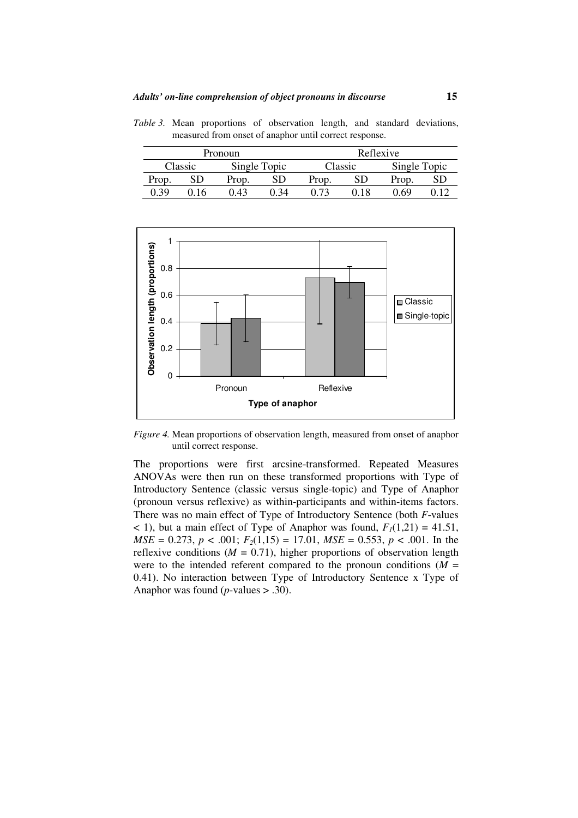measured from onset of anaphor until correct response. Pronoun Reflexive Classic Single Topic Classic Single Topic Prop. SD Prop. SD Prop. SD Prop. SD

0.39 0.16 0.43 0.34 0.73 0.18 0.69 0.12

*Table 3.* Mean proportions of observation length, and standard deviations,



*Figure 4.* Mean proportions of observation length, measured from onset of anaphor until correct response.

The proportions were first arcsine-transformed. Repeated Measures ANOVAs were then run on these transformed proportions with Type of Introductory Sentence (classic versus single-topic) and Type of Anaphor (pronoun versus reflexive) as within-participants and within-items factors. There was no main effect of Type of Introductory Sentence (both *F*-values  $<$  1), but a main effect of Type of Anaphor was found,  $F_I(1,21) = 41.51$ , *MSE* = 0.273,  $p < .001$ ;  $F_2(1,15) = 17.01$ ,  $MSE = 0.553$ ,  $p < .001$ . In the reflexive conditions  $(M = 0.71)$ , higher proportions of observation length were to the intended referent compared to the pronoun conditions  $(M =$ 0.41). No interaction between Type of Introductory Sentence x Type of Anaphor was found (*p*-values > .30).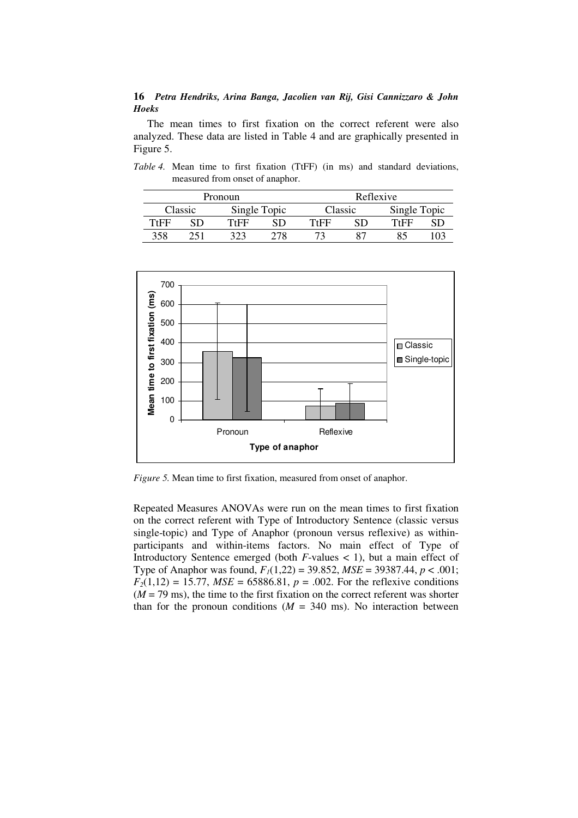The mean times to first fixation on the correct referent were also analyzed. These data are listed in Table 4 and are graphically presented in Figure 5.

*Table 4.* Mean time to first fixation (TtFF) (in ms) and standard deviations, measured from onset of anaphor.

| Pronoun |         |              |     | Reflexive |     |              |  |
|---------|---------|--------------|-----|-----------|-----|--------------|--|
|         | Classic | Single Topic |     | Classic   |     | Single Topic |  |
| TtFF    |         | TtFF         |     | TtFF      |     | TtFF         |  |
| 358     |         | 323          | 278 |           | -87 |              |  |



*Figure 5.* Mean time to first fixation, measured from onset of anaphor.

Repeated Measures ANOVAs were run on the mean times to first fixation on the correct referent with Type of Introductory Sentence (classic versus single-topic) and Type of Anaphor (pronoun versus reflexive) as withinparticipants and within-items factors. No main effect of Type of Introductory Sentence emerged (both *F*-values < 1), but a main effect of Type of Anaphor was found, *F1*(1,22) = 39.852, *MSE* = 39387.44, *p* < .001;  $F_2(1,12) = 15.77$ , *MSE* = 65886.81, *p* = .002. For the reflexive conditions  $(M = 79 \text{ ms})$ , the time to the first fixation on the correct referent was shorter than for the pronoun conditions  $(M = 340 \text{ ms})$ . No interaction between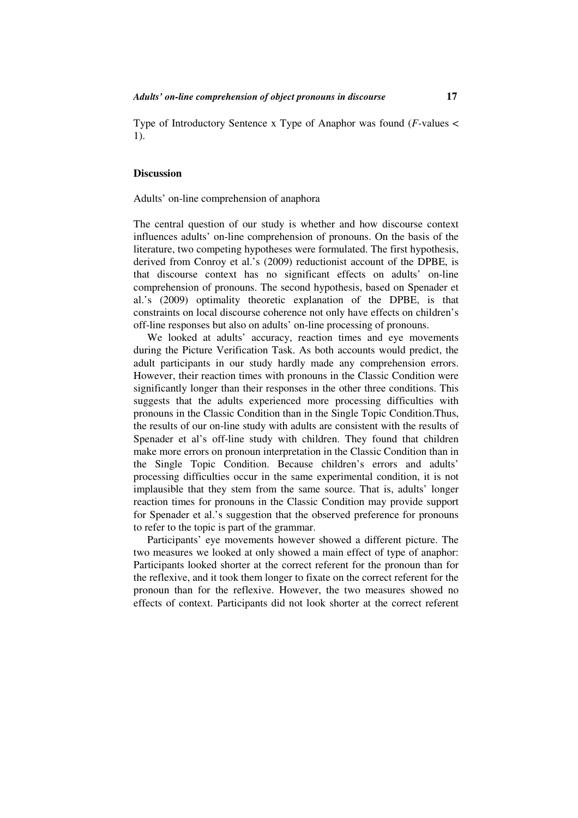Type of Introductory Sentence x Type of Anaphor was found (*F-*values < 1).

#### **Discussion**

Adults' on-line comprehension of anaphora

The central question of our study is whether and how discourse context influences adults' on-line comprehension of pronouns. On the basis of the literature, two competing hypotheses were formulated. The first hypothesis, derived from Conroy et al.'s (2009) reductionist account of the DPBE, is that discourse context has no significant effects on adults' on-line comprehension of pronouns. The second hypothesis, based on Spenader et al.'s (2009) optimality theoretic explanation of the DPBE, is that constraints on local discourse coherence not only have effects on children's off-line responses but also on adults' on-line processing of pronouns.

We looked at adults' accuracy, reaction times and eye movements during the Picture Verification Task. As both accounts would predict, the adult participants in our study hardly made any comprehension errors. However, their reaction times with pronouns in the Classic Condition were significantly longer than their responses in the other three conditions. This suggests that the adults experienced more processing difficulties with pronouns in the Classic Condition than in the Single Topic Condition.Thus, the results of our on-line study with adults are consistent with the results of Spenader et al's off-line study with children. They found that children make more errors on pronoun interpretation in the Classic Condition than in the Single Topic Condition. Because children's errors and adults' processing difficulties occur in the same experimental condition, it is not implausible that they stem from the same source. That is, adults' longer reaction times for pronouns in the Classic Condition may provide support for Spenader et al.'s suggestion that the observed preference for pronouns to refer to the topic is part of the grammar.

Participants' eye movements however showed a different picture. The two measures we looked at only showed a main effect of type of anaphor: Participants looked shorter at the correct referent for the pronoun than for the reflexive, and it took them longer to fixate on the correct referent for the pronoun than for the reflexive. However, the two measures showed no effects of context. Participants did not look shorter at the correct referent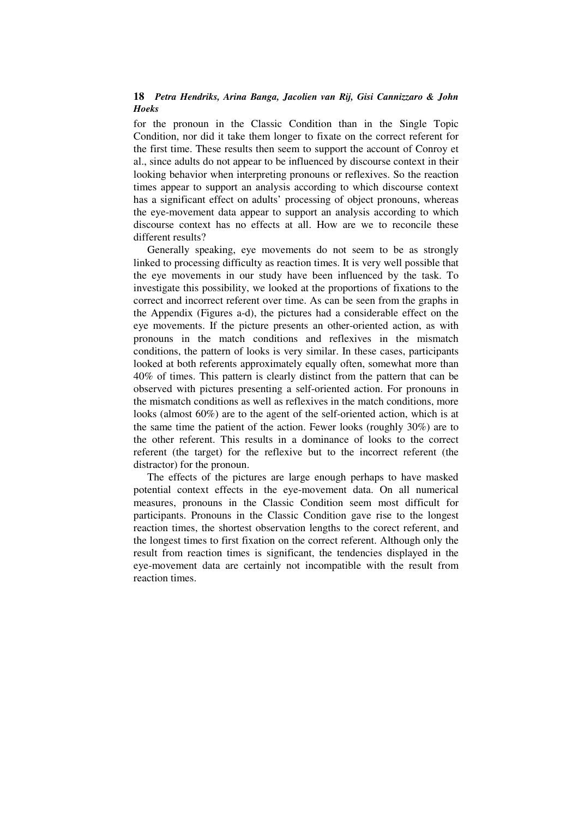for the pronoun in the Classic Condition than in the Single Topic Condition, nor did it take them longer to fixate on the correct referent for the first time. These results then seem to support the account of Conroy et al., since adults do not appear to be influenced by discourse context in their looking behavior when interpreting pronouns or reflexives. So the reaction times appear to support an analysis according to which discourse context has a significant effect on adults' processing of object pronouns, whereas the eye-movement data appear to support an analysis according to which discourse context has no effects at all. How are we to reconcile these different results?

Generally speaking, eye movements do not seem to be as strongly linked to processing difficulty as reaction times. It is very well possible that the eye movements in our study have been influenced by the task. To investigate this possibility, we looked at the proportions of fixations to the correct and incorrect referent over time. As can be seen from the graphs in the Appendix (Figures a-d), the pictures had a considerable effect on the eye movements. If the picture presents an other-oriented action, as with pronouns in the match conditions and reflexives in the mismatch conditions, the pattern of looks is very similar. In these cases, participants looked at both referents approximately equally often, somewhat more than 40% of times. This pattern is clearly distinct from the pattern that can be observed with pictures presenting a self-oriented action. For pronouns in the mismatch conditions as well as reflexives in the match conditions, more looks (almost 60%) are to the agent of the self-oriented action, which is at the same time the patient of the action. Fewer looks (roughly 30%) are to the other referent. This results in a dominance of looks to the correct referent (the target) for the reflexive but to the incorrect referent (the distractor) for the pronoun.

The effects of the pictures are large enough perhaps to have masked potential context effects in the eye-movement data. On all numerical measures, pronouns in the Classic Condition seem most difficult for participants. Pronouns in the Classic Condition gave rise to the longest reaction times, the shortest observation lengths to the corect referent, and the longest times to first fixation on the correct referent. Although only the result from reaction times is significant, the tendencies displayed in the eye-movement data are certainly not incompatible with the result from reaction times.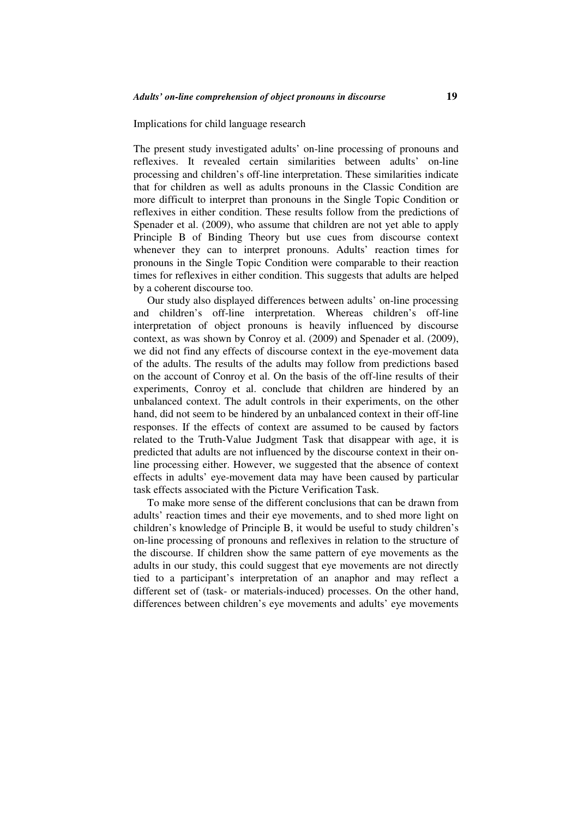#### Implications for child language research

The present study investigated adults' on-line processing of pronouns and reflexives. It revealed certain similarities between adults' on-line processing and children's off-line interpretation. These similarities indicate that for children as well as adults pronouns in the Classic Condition are more difficult to interpret than pronouns in the Single Topic Condition or reflexives in either condition. These results follow from the predictions of Spenader et al. (2009), who assume that children are not yet able to apply Principle B of Binding Theory but use cues from discourse context whenever they can to interpret pronouns. Adults' reaction times for pronouns in the Single Topic Condition were comparable to their reaction times for reflexives in either condition. This suggests that adults are helped by a coherent discourse too.

Our study also displayed differences between adults' on-line processing and children's off-line interpretation. Whereas children's off-line interpretation of object pronouns is heavily influenced by discourse context, as was shown by Conroy et al. (2009) and Spenader et al. (2009), we did not find any effects of discourse context in the eye-movement data of the adults. The results of the adults may follow from predictions based on the account of Conroy et al. On the basis of the off-line results of their experiments, Conroy et al. conclude that children are hindered by an unbalanced context. The adult controls in their experiments, on the other hand, did not seem to be hindered by an unbalanced context in their off-line responses. If the effects of context are assumed to be caused by factors related to the Truth-Value Judgment Task that disappear with age, it is predicted that adults are not influenced by the discourse context in their online processing either. However, we suggested that the absence of context effects in adults' eye-movement data may have been caused by particular task effects associated with the Picture Verification Task.

To make more sense of the different conclusions that can be drawn from adults' reaction times and their eye movements, and to shed more light on children's knowledge of Principle B, it would be useful to study children's on-line processing of pronouns and reflexives in relation to the structure of the discourse. If children show the same pattern of eye movements as the adults in our study, this could suggest that eye movements are not directly tied to a participant's interpretation of an anaphor and may reflect a different set of (task- or materials-induced) processes. On the other hand, differences between children's eye movements and adults' eye movements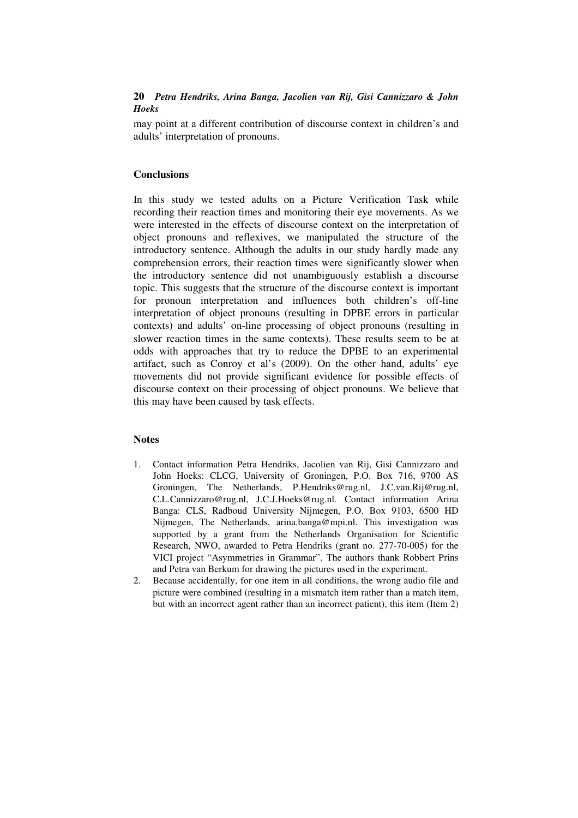may point at a different contribution of discourse context in children's and adults' interpretation of pronouns.

# **Conclusions**

In this study we tested adults on a Picture Verification Task while recording their reaction times and monitoring their eye movements. As we were interested in the effects of discourse context on the interpretation of object pronouns and reflexives, we manipulated the structure of the introductory sentence. Although the adults in our study hardly made any comprehension errors, their reaction times were significantly slower when the introductory sentence did not unambiguously establish a discourse topic. This suggests that the structure of the discourse context is important for pronoun interpretation and influences both children's off-line interpretation of object pronouns (resulting in DPBE errors in particular contexts) and adults' on-line processing of object pronouns (resulting in slower reaction times in the same contexts). These results seem to be at odds with approaches that try to reduce the DPBE to an experimental artifact, such as Conroy et al's (2009). On the other hand, adults' eye movements did not provide significant evidence for possible effects of discourse context on their processing of object pronouns. We believe that this may have been caused by task effects.

#### **Notes**

- 1. Contact information Petra Hendriks, Jacolien van Rij, Gisi Cannizzaro and John Hoeks: CLCG, University of Groningen, P.O. Box 716, 9700 AS Groningen, The Netherlands, P.Hendriks@rug.nl, J.C.van.Rij@rug.nl, C.L.Cannizzaro@rug.nl, J.C.J.Hoeks@rug.nl. Contact information Arina Banga: CLS, Radboud University Nijmegen, P.O. Box 9103, 6500 HD Nijmegen, The Netherlands, arina.banga@mpi.nl. This investigation was supported by a grant from the Netherlands Organisation for Scientific Research, NWO, awarded to Petra Hendriks (grant no. 277-70-005) for the VICI project "Asymmetries in Grammar". The authors thank Robbert Prins and Petra van Berkum for drawing the pictures used in the experiment.
- 2. Because accidentally, for one item in all conditions, the wrong audio file and picture were combined (resulting in a mismatch item rather than a match item, but with an incorrect agent rather than an incorrect patient), this item (Item 2)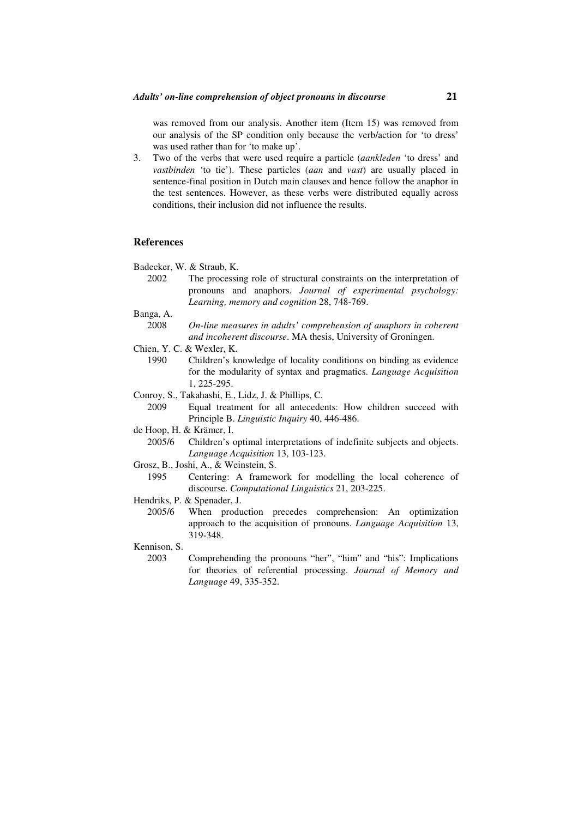was removed from our analysis. Another item (Item 15) was removed from our analysis of the SP condition only because the verb/action for 'to dress' was used rather than for 'to make up'.

3. Two of the verbs that were used require a particle (*aankleden* 'to dress' and *vastbinden* 'to tie'). These particles (*aan* and *vast*) are usually placed in sentence-final position in Dutch main clauses and hence follow the anaphor in the test sentences. However, as these verbs were distributed equally across conditions, their inclusion did not influence the results.

#### **References**

Badecker, W. & Straub, K.

- 2002 The processing role of structural constraints on the interpretation of pronouns and anaphors. *Journal of experimental psychology: Learning, memory and cognition* 28, 748-769.
- Banga, A.
	- 2008 *On-line measures in adults' comprehension of anaphors in coherent and incoherent discourse*. MA thesis, University of Groningen.
- Chien, Y. C. & Wexler, K.
	- 1990 Children's knowledge of locality conditions on binding as evidence for the modularity of syntax and pragmatics. *Language Acquisition* 1, 225-295.
- Conroy, S., Takahashi, E., Lidz, J. & Phillips, C.
	- 2009 Equal treatment for all antecedents: How children succeed with Principle B. *Linguistic Inquiry* 40, 446-486.
- de Hoop, H. & Krämer, I.
	- 2005/6 Children's optimal interpretations of indefinite subjects and objects. *Language Acquisition* 13, 103-123.
- Grosz, B., Joshi, A., & Weinstein, S.
	- 1995 Centering: A framework for modelling the local coherence of discourse. *Computational Linguistics* 21, 203-225.
- Hendriks, P. & Spenader, J.
	- 2005/6 When production precedes comprehension: An optimization approach to the acquisition of pronouns. *Language Acquisition* 13, 319-348.
- Kennison, S.
	- 2003 Comprehending the pronouns "her", "him" and "his": Implications for theories of referential processing. *Journal of Memory and Language* 49, 335-352.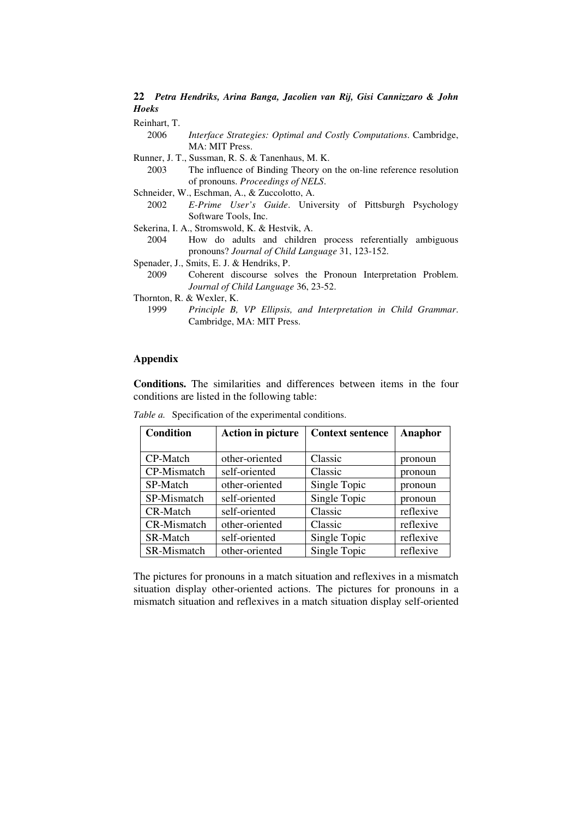Reinhart, T.

- 2006 *Interface Strategies: Optimal and Costly Computations*. Cambridge, MA: MIT Press.
- Runner, J. T., Sussman, R. S. & Tanenhaus, M. K.
	- 2003 The influence of Binding Theory on the on-line reference resolution of pronouns. *Proceedings of NELS*.
- Schneider, W., Eschman, A., & Zuccolotto, A.
	- 2002 *E-Prime User's Guide*. University of Pittsburgh Psychology Software Tools, Inc.
- Sekerina, I. A., Stromswold, K. & Hestvik, A.
	- 2004 How do adults and children process referentially ambiguous pronouns? *Journal of Child Language* 31, 123-152.
- Spenader, J., Smits, E. J. & Hendriks, P.

 2009 Coherent discourse solves the Pronoun Interpretation Problem. *Journal of Child Language* 36, 23-52.

Thornton, R. & Wexler, K.

# **Appendix**

**Conditions.** The similarities and differences between items in the four conditions are listed in the following table:

| <b>Condition</b> | <b>Action in picture</b> | <b>Context sentence</b> | Anaphor   |  |
|------------------|--------------------------|-------------------------|-----------|--|
|                  |                          |                         |           |  |
| CP-Match         | other-oriented           | Classic                 | pronoun   |  |
| CP-Mismatch      | self-oriented            | Classic                 | pronoun   |  |
| SP-Match         | other-oriented           | Single Topic            | pronoun   |  |
| SP-Mismatch      | self-oriented            | Single Topic            | pronoun   |  |
| <b>CR-Match</b>  | self-oriented            | Classic                 | reflexive |  |
| CR-Mismatch      | other-oriented           | Classic                 | reflexive |  |
| SR-Match         | self-oriented            | Single Topic            | reflexive |  |
| SR-Mismatch      | other-oriented           | Single Topic            | reflexive |  |

*Table a.* Specification of the experimental conditions.

The pictures for pronouns in a match situation and reflexives in a mismatch situation display other-oriented actions. The pictures for pronouns in a mismatch situation and reflexives in a match situation display self-oriented

 <sup>1999</sup> *Principle B, VP Ellipsis, and Interpretation in Child Grammar*. Cambridge, MA: MIT Press.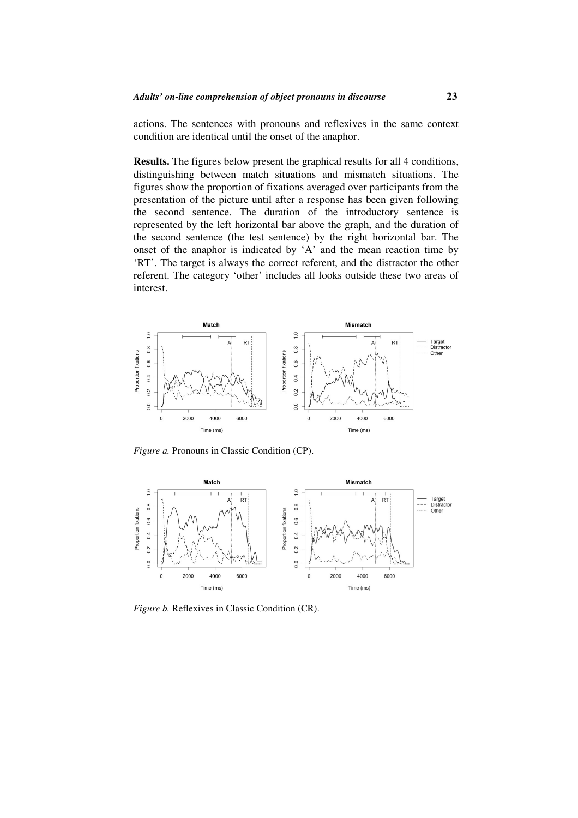actions. The sentences with pronouns and reflexives in the same context condition are identical until the onset of the anaphor.

**Results.** The figures below present the graphical results for all 4 conditions, distinguishing between match situations and mismatch situations. The figures show the proportion of fixations averaged over participants from the presentation of the picture until after a response has been given following the second sentence. The duration of the introductory sentence is represented by the left horizontal bar above the graph, and the duration of the second sentence (the test sentence) by the right horizontal bar. The onset of the anaphor is indicated by 'A' and the mean reaction time by 'RT'. The target is always the correct referent, and the distractor the other referent. The category 'other' includes all looks outside these two areas of interest.



*Figure a.* Pronouns in Classic Condition (CP).



*Figure b.* Reflexives in Classic Condition (CR).